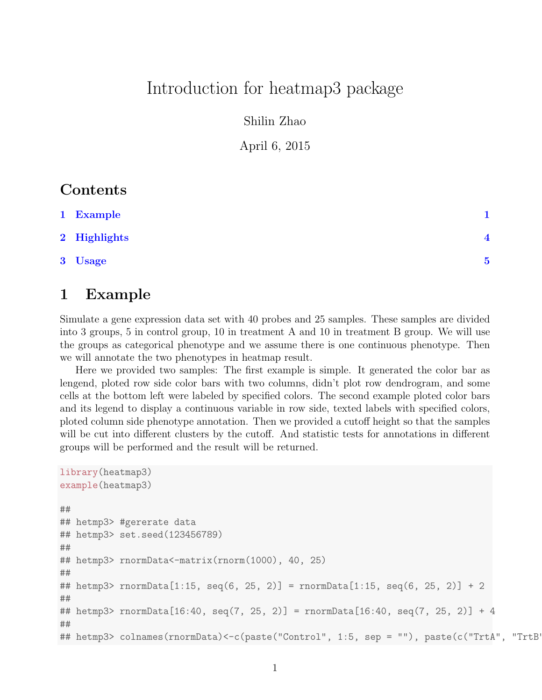## Introduction for heatmap3 package

Shilin Zhao

April 6, 2015

#### **Contents**

| 1 Example    |                |
|--------------|----------------|
| 2 Highlights | $\overline{4}$ |
| 3 Usage      | 5              |

### <span id="page-0-0"></span>1 Example

Simulate a gene expression data set with 40 probes and 25 samples. These samples are divided into 3 groups, 5 in control group, 10 in treatment A and 10 in treatment B group. We will use the groups as categorical phenotype and we assume there is one continuous phenotype. Then we will annotate the two phenotypes in heatmap result.

Here we provided two samples: The first example is simple. It generated the color bar as lengend, ploted row side color bars with two columns, didn't plot row dendrogram, and some cells at the bottom left were labeled by specified colors. The second example ploted color bars and its legend to display a continuous variable in row side, texted labels with specified colors, ploted column side phenotype annotation. Then we provided a cutoff height so that the samples will be cut into different clusters by the cutoff. And statistic tests for annotations in different groups will be performed and the result will be returned.

```
library(heatmap3)
example(heatmap3)
##
## hetmp3> #gererate data
## hetmp3> set.seed(123456789)
##
## hetmp3> rnormData<-matrix(rnorm(1000), 40, 25)
##
## hetmp3> rnormData[1:15, seq(6, 25, 2)] = rnormData[1:15, seq(6, 25, 2)] + 2
##
## hetmp3> rnormData[16:40, seq(7, 25, 2)] = rnormData[16:40, seq(7, 25, 2)] + 4
##
## hetmp3> colnames(rnormData)<-c(paste("Control", 1:5, sep = ""), paste(c("TrtA", "TrtB"),
```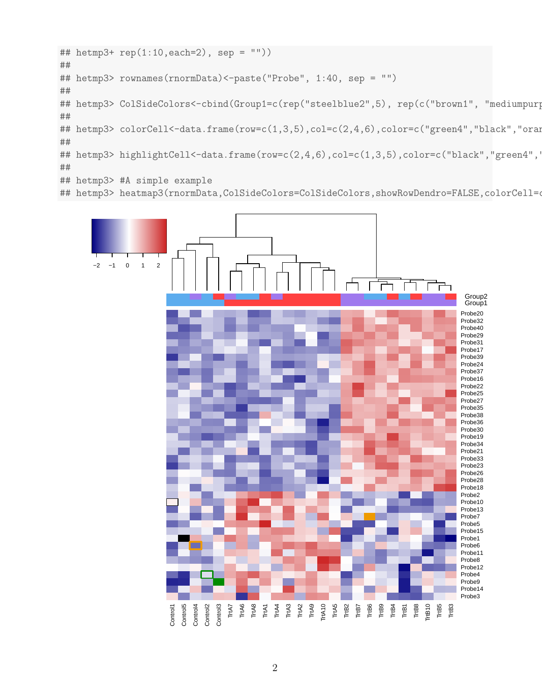```
## hetmp3+ rep(1:10,each=2), sep = ""))
##
## hetmp3> rownames(rnormData)<-paste("Probe", 1:40, sep = "")
##
## hetmp3> ColSideColors<-cbind(Group1=c(rep("steelblue2",5), rep(c("brown1", "mediumpurp
##
## hetmp3> colorCell<-data.frame(row=c(1,3,5),col=c(2,4,6),color=c("green4","black","oran
##
## hetmp3> highlightCell<-data.frame(row=c(2,4,6),col=c(1,3,5),color=c("black","green4",'
##
## hetmp3> #A simple example
```
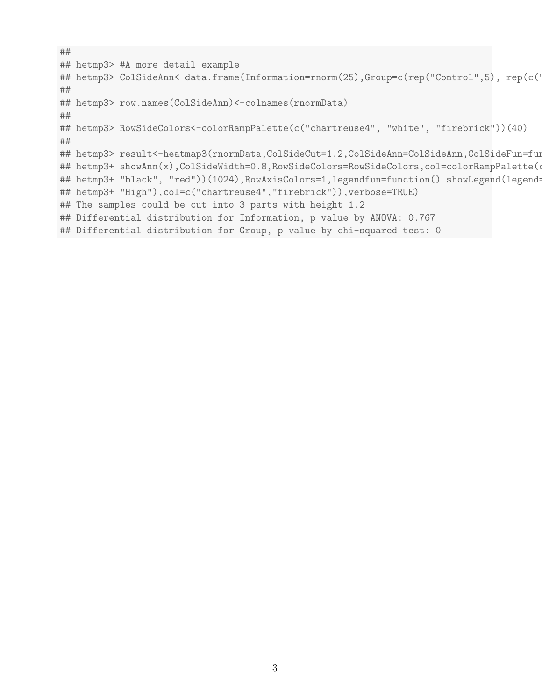```
##
## hetmp3> #A more detail example
## hetmp3> ColSideAnn<-data.frame(Information=rnorm(25),Group=c(rep("Control",5), rep(c('
##
## hetmp3> row.names(ColSideAnn)<-colnames(rnormData)
##
## hetmp3> RowSideColors<-colorRampPalette(c("chartreuse4", "white", "firebrick"))(40)
##
## hetmp3> result<-heatmap3(rnormData,ColSideCut=1.2,ColSideAnn=ColSideAnn,ColSideFun=fun
## hetmp3+ showAnn(x),ColSideWidth=0.8,RowSideColors=RowSideColors,col=colorRampPalette(o
## hetmp3+ "black", "red"))(1024), RowAxisColors=1, legendfun=function() showLegend(legend=
## hetmp3+ "High"),col=c("chartreuse4","firebrick")),verbose=TRUE)
## The samples could be cut into 3 parts with height 1.2
## Differential distribution for Information, p value by ANOVA: 0.767
## Differential distribution for Group, p value by chi-squared test: 0
```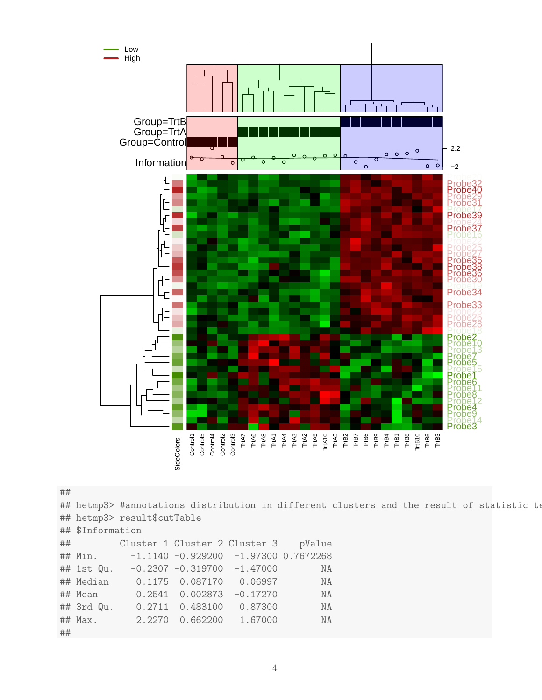

##

|    |                  | ## hetmp3> #annotations distribution in different clusters and the result of statistic te |  |        |  |  |  |  |
|----|------------------|-------------------------------------------------------------------------------------------|--|--------|--|--|--|--|
|    |                  | ## hetmp3> result\$cutTable                                                               |  |        |  |  |  |  |
|    | ## \$Information |                                                                                           |  |        |  |  |  |  |
|    |                  | ## Cluster 1 Cluster 2 Cluster 3                                                          |  | pValue |  |  |  |  |
|    |                  | ## Min. -1.1140 -0.929200 -1.97300 0.7672268                                              |  |        |  |  |  |  |
|    |                  | $\#$ # 1st Qu. -0.2307 -0.319700 -1.47000                                                 |  | NA     |  |  |  |  |
|    |                  | ## Median 0.1175 0.087170 0.06997                                                         |  | ΝA     |  |  |  |  |
|    |                  | ## Mean 0.2541 0.002873 -0.17270                                                          |  | NA     |  |  |  |  |
|    |                  | ## 3rd Qu. 0.2711 0.483100 0.87300                                                        |  | NA     |  |  |  |  |
|    |                  | ## Max. 2.2270 0.662200 1.67000                                                           |  | NA     |  |  |  |  |
| ## |                  |                                                                                           |  |        |  |  |  |  |
|    |                  |                                                                                           |  |        |  |  |  |  |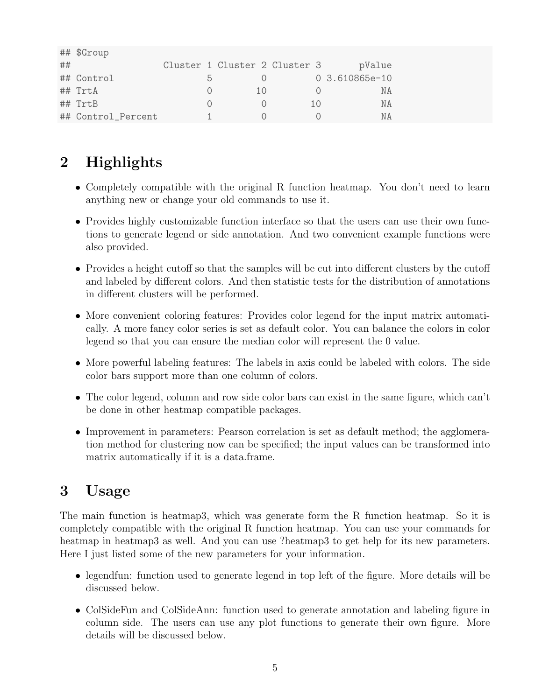|    | ## \$Group         |    |                               |     |                |
|----|--------------------|----|-------------------------------|-----|----------------|
| ## |                    |    | Cluster 1 Cluster 2 Cluster 3 |     | pValue         |
|    | ## Control         | h. |                               |     | 0 3.610865e-10 |
|    | $##$ TrtA          |    | 1 ()                          |     | ΝA             |
|    | ## TrtB            |    |                               | 1() | ΝA             |
|    | ## Control_Percent |    |                               |     | N A            |

# <span id="page-4-0"></span>2 Highlights

- Completely compatible with the original R function heatmap. You don't need to learn anything new or change your old commands to use it.
- Provides highly customizable function interface so that the users can use their own functions to generate legend or side annotation. And two convenient example functions were also provided.
- Provides a height cutoff so that the samples will be cut into different clusters by the cutoff and labeled by different colors. And then statistic tests for the distribution of annotations in different clusters will be performed.
- More convenient coloring features: Provides color legend for the input matrix automatically. A more fancy color series is set as default color. You can balance the colors in color legend so that you can ensure the median color will represent the 0 value.
- More powerful labeling features: The labels in axis could be labeled with colors. The side color bars support more than one column of colors.
- The color legend, column and row side color bars can exist in the same figure, which can't be done in other heatmap compatible packages.
- Improvement in parameters: Pearson correlation is set as default method; the agglomeration method for clustering now can be specified; the input values can be transformed into matrix automatically if it is a data.frame.

## <span id="page-4-1"></span>3 Usage

The main function is heatmap3, which was generate form the R function heatmap. So it is completely compatible with the original R function heatmap. You can use your commands for heatmap in heatmap3 as well. And you can use ?heatmap3 to get help for its new parameters. Here I just listed some of the new parameters for your information.

- legendfun: function used to generate legend in top left of the figure. More details will be discussed below.
- ColSideFun and ColSideAnn: function used to generate annotation and labeling figure in column side. The users can use any plot functions to generate their own figure. More details will be discussed below.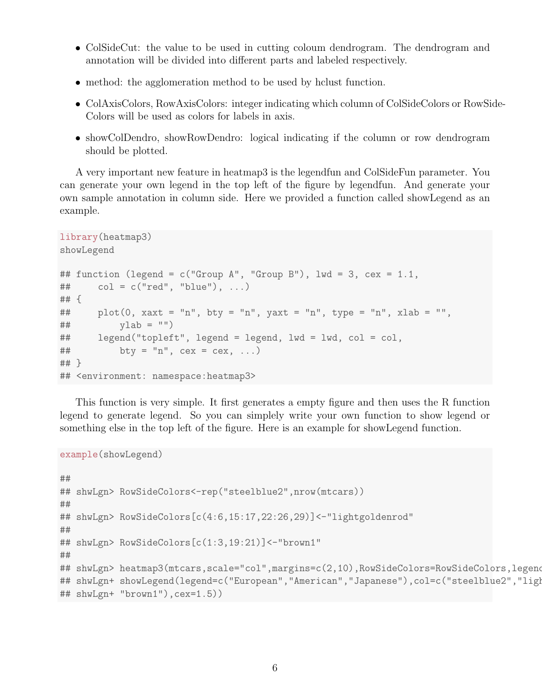- ColSideCut: the value to be used in cutting coloum dendrogram. The dendrogram and annotation will be divided into different parts and labeled respectively.
- method: the agglomeration method to be used by hclust function.
- ColAxisColors, RowAxisColors: integer indicating which column of ColSideColors or RowSide-Colors will be used as colors for labels in axis.
- showColDendro, showRowDendro: logical indicating if the column or row dendrogram should be plotted.

A very important new feature in heatmap3 is the legendfun and ColSideFun parameter. You can generate your own legend in the top left of the figure by legendfun. And generate your own sample annotation in column side. Here we provided a function called showLegend as an example.

```
library(heatmap3)
showLegend
## function (legend = c("Group A", "Group B"), Iwd = 3, cex = 1.1,\# col = c("red", "blue"), ...)
## {
## plot(0, xaxt = "n", bty = "n", yaxt = "n", type = "n", xlab = "",
## vlab = "")## legend("topleft", legend = legend, lwd = lwd, col = col,
\# bty = "n", cex = cex, ...)
## }
## <environment: namespace:heatmap3>
```
This function is very simple. It first generates a empty figure and then uses the R function legend to generate legend. So you can simplely write your own function to show legend or something else in the top left of the figure. Here is an example for showLegend function.

```
example(showLegend)
##
## shwLgn> RowSideColors<-rep("steelblue2",nrow(mtcars))
##
## shwLgn> RowSideColors[c(4:6,15:17,22:26,29)]<-"lightgoldenrod"
##
## shwLgn> RowSideColors[c(1:3,19:21)]<-"brown1"
##
## shwLgn> heatmap3(mtcars,scale="col",margins=c(2,10),RowSideColors=RowSideColors,legend
## shwLgn+ showLegend(legend=c("European","American","Japanese"),col=c("steelblue2","ligh
## shwLgn+ "brown1"),cex=1.5))
```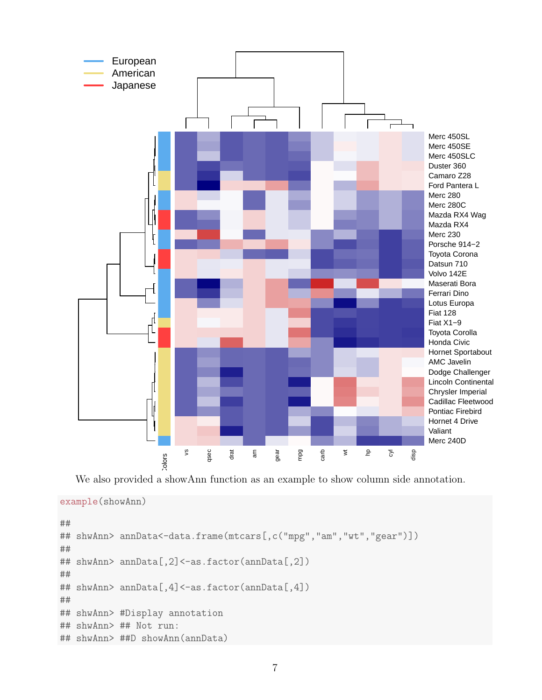

We also provided a showAnn function as an example to show column side annotation.

```
example(showAnn)
```

```
##
## shwAnn> annData<-data.frame(mtcars[,c("mpg","am","wt","gear")])
##
## shwAnn> annData[,2]<-as.factor(annData[,2])
##
## shwAnn> annData[,4]<-as.factor(annData[,4])
##
## shwAnn> #Display annotation
## shwAnn> ## Not run:
## shwAnn> ##D showAnn(annData)
```